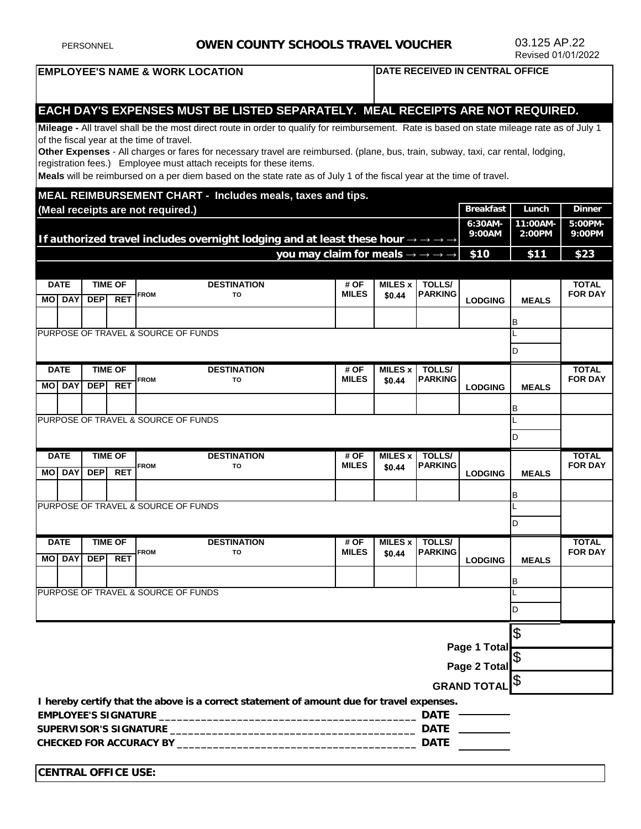| <b>PERSONNEL</b>                                                                                                                                                                                        |                              |                                            |                              | <b>OWEN COUNTY SCHOOLS TRAVEL VOUCHER</b> |                                                                                                                                                                                                                                                                                                                                                                                                                                                                                                                                                                   |                                                               |                            |                                 |                    | 03.125 AP.22<br>Revised 01/01/2022 |                                |
|---------------------------------------------------------------------------------------------------------------------------------------------------------------------------------------------------------|------------------------------|--------------------------------------------|------------------------------|-------------------------------------------|-------------------------------------------------------------------------------------------------------------------------------------------------------------------------------------------------------------------------------------------------------------------------------------------------------------------------------------------------------------------------------------------------------------------------------------------------------------------------------------------------------------------------------------------------------------------|---------------------------------------------------------------|----------------------------|---------------------------------|--------------------|------------------------------------|--------------------------------|
| <b>EMPLOYEE'S NAME &amp; WORK LOCATION</b><br>DATE RECEIVED IN CENTRAL OFFICE                                                                                                                           |                              |                                            |                              |                                           |                                                                                                                                                                                                                                                                                                                                                                                                                                                                                                                                                                   |                                                               |                            |                                 |                    |                                    |                                |
|                                                                                                                                                                                                         |                              |                                            |                              | of the fiscal year at the time of travel. | EACH DAY'S EXPENSES MUST BE LISTED SEPARATELY. MEAL RECEIPTS ARE NOT REQUIRED.<br>Mileage - All travel shall be the most direct route in order to qualify for reimbursement. Rate is based on state mileage rate as of July 1<br>Other Expenses - All charges or fares for necessary travel are reimbursed. (plane, bus, train, subway, taxi, car rental, lodging,<br>registration fees.) Employee must attach receipts for these items.<br>Meals will be reimbursed on a per diem based on the state rate as of July 1 of the fiscal year at the time of travel. |                                                               |                            |                                 |                    |                                    |                                |
|                                                                                                                                                                                                         |                              |                                            |                              |                                           | MEAL REIMBURSEMENT CHART - Includes meals, taxes and tips.                                                                                                                                                                                                                                                                                                                                                                                                                                                                                                        |                                                               |                            |                                 |                    | Lunch                              | <b>Dinner</b>                  |
| <b>Breakfast</b><br>(Meal receipts are not required.)<br>6:30AM-<br>9:00AM<br>If authorized travel includes overnight lodging and at least these hour $\rightarrow \rightarrow \rightarrow \rightarrow$ |                              |                                            |                              |                                           |                                                                                                                                                                                                                                                                                                                                                                                                                                                                                                                                                                   |                                                               |                            |                                 | 11:00AM-<br>2:00PM | 5:00PM-<br>9:00PM                  |                                |
|                                                                                                                                                                                                         |                              |                                            |                              |                                           |                                                                                                                                                                                                                                                                                                                                                                                                                                                                                                                                                                   | you may claim for meals $\rightarrow \rightarrow \rightarrow$ |                            |                                 | \$10               | \$11                               | \$23                           |
|                                                                                                                                                                                                         |                              |                                            |                              |                                           |                                                                                                                                                                                                                                                                                                                                                                                                                                                                                                                                                                   |                                                               |                            |                                 |                    |                                    |                                |
|                                                                                                                                                                                                         | <b>DATE</b><br><b>MO DAY</b> | <b>DEP</b>                                 | <b>TIME OF</b><br><b>RET</b> | <b>FROM</b>                               | <b>DESTINATION</b><br>TO                                                                                                                                                                                                                                                                                                                                                                                                                                                                                                                                          | # OF<br><b>MILES</b>                                          | <b>MILES x I</b><br>\$0.44 | <b>TOLLS/</b><br><b>PARKING</b> | <b>LODGING</b>     | <b>MEALS</b>                       | <b>TOTAL</b><br><b>FOR DAY</b> |
|                                                                                                                                                                                                         |                              |                                            |                              |                                           |                                                                                                                                                                                                                                                                                                                                                                                                                                                                                                                                                                   |                                                               |                            |                                 |                    | B                                  |                                |
|                                                                                                                                                                                                         |                              |                                            |                              |                                           | PURPOSE OF TRAVEL & SOURCE OF FUNDS                                                                                                                                                                                                                                                                                                                                                                                                                                                                                                                               |                                                               |                            |                                 |                    | D                                  |                                |
|                                                                                                                                                                                                         | <b>DATE</b>                  |                                            | <b>TIME OF</b>               | <b>FROM</b>                               | <b>DESTINATION</b><br>TO                                                                                                                                                                                                                                                                                                                                                                                                                                                                                                                                          | # OF<br><b>MILES</b>                                          | <b>MILES x</b>             | <b>TOLLS/</b><br><b>PARKING</b> |                    |                                    | <b>TOTAL</b><br><b>FOR DAY</b> |
| <b>MO</b>                                                                                                                                                                                               | <b>DAY</b>                   | <b>DEP</b>                                 | <b>RET</b>                   |                                           |                                                                                                                                                                                                                                                                                                                                                                                                                                                                                                                                                                   |                                                               | \$0.44                     |                                 | <b>LODGING</b>     | <b>MEALS</b>                       |                                |
|                                                                                                                                                                                                         |                              |                                            |                              |                                           | PURPOSE OF TRAVEL & SOURCE OF FUNDS                                                                                                                                                                                                                                                                                                                                                                                                                                                                                                                               |                                                               |                            |                                 |                    | в                                  |                                |
|                                                                                                                                                                                                         |                              |                                            |                              |                                           |                                                                                                                                                                                                                                                                                                                                                                                                                                                                                                                                                                   |                                                               |                            |                                 |                    | D                                  |                                |
|                                                                                                                                                                                                         | <b>DATE</b><br><b>MO DAY</b> | <b>TIME OF</b><br><b>DEP</b><br><b>RET</b> |                              | <b>FROM</b>                               | <b>DESTINATION</b><br>TO                                                                                                                                                                                                                                                                                                                                                                                                                                                                                                                                          | # OF<br><b>MILES</b>                                          | <b>MILES x</b><br>\$0.44   | <b>TOLLS/</b><br><b>PARKING</b> | <b>LODGING</b>     | <b>MEALS</b>                       | <b>TOTAL</b><br><b>FOR DAY</b> |
|                                                                                                                                                                                                         |                              |                                            |                              |                                           |                                                                                                                                                                                                                                                                                                                                                                                                                                                                                                                                                                   |                                                               |                            |                                 |                    | в                                  |                                |
|                                                                                                                                                                                                         |                              |                                            |                              |                                           | PURPOSE OF TRAVEL & SOURCE OF FUNDS                                                                                                                                                                                                                                                                                                                                                                                                                                                                                                                               |                                                               |                            |                                 |                    | ID                                 |                                |
| <b>DATE</b>                                                                                                                                                                                             |                              | <b>TIME OF</b>                             |                              | <b>DESTINATION</b>                        |                                                                                                                                                                                                                                                                                                                                                                                                                                                                                                                                                                   | # OF                                                          | MILES x                    | <b>TOLLS/</b>                   |                    |                                    | <b>TOTAL</b>                   |
|                                                                                                                                                                                                         | <b>MO DAY</b>                | <b>DEP</b>                                 | <b>RET</b>                   | <b>FROM</b>                               | TO                                                                                                                                                                                                                                                                                                                                                                                                                                                                                                                                                                | <b>MILES</b>                                                  | \$0.44                     | <b>PARKING</b>                  | <b>LODGING</b>     | <b>MEALS</b>                       | <b>FOR DAY</b>                 |
|                                                                                                                                                                                                         |                              |                                            |                              |                                           |                                                                                                                                                                                                                                                                                                                                                                                                                                                                                                                                                                   |                                                               |                            |                                 |                    | в                                  |                                |
|                                                                                                                                                                                                         |                              |                                            |                              |                                           | PURPOSE OF TRAVEL & SOURCE OF FUNDS                                                                                                                                                                                                                                                                                                                                                                                                                                                                                                                               |                                                               |                            |                                 |                    | D                                  |                                |
|                                                                                                                                                                                                         |                              |                                            |                              |                                           |                                                                                                                                                                                                                                                                                                                                                                                                                                                                                                                                                                   |                                                               |                            |                                 |                    | \$                                 |                                |
| Page 1 Total                                                                                                                                                                                            |                              |                                            |                              |                                           |                                                                                                                                                                                                                                                                                                                                                                                                                                                                                                                                                                   |                                                               |                            |                                 |                    |                                    |                                |

**Page 2 Total** \$ \$

**GRAND TOTAL**

**I hereby certify that the above is a correct statement of amount due for travel expenses.** 

| <b>EMPLOYEE'S SIGNATURE</b>    | DATI        |
|--------------------------------|-------------|
| SUPERVISOR'S SIGNATURE         | <b>DATE</b> |
| <b>CHECKED FOR ACCURACY BY</b> | DATE        |

**CENTRAL OFFICE USE:**